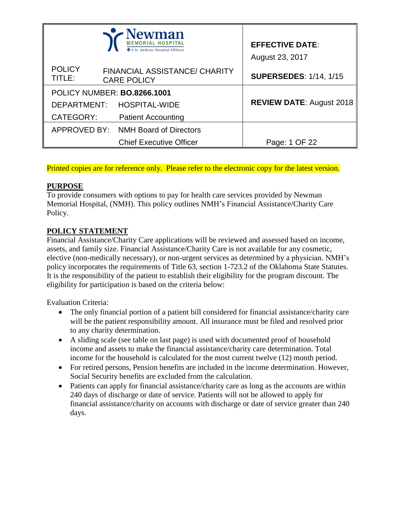|                         | <b>Newman</b><br>A St. Anthony Hospital Affiliate          | <b>EFFECTIVE DATE:</b><br>August 23, 2017 |
|-------------------------|------------------------------------------------------------|-------------------------------------------|
| <b>POLICY</b><br>TITLE: | <b>FINANCIAL ASSISTANCE/ CHARITY</b><br><b>CARE POLICY</b> | <b>SUPERSEDES: 1/14, 1/15</b>             |
|                         | POLICY NUMBER: BO.8266.1001                                |                                           |
| DEPARTMENT:             | <b>HOSPITAL-WIDE</b>                                       | <b>REVIEW DATE: August 2018</b>           |
| CATEGORY:               | <b>Patient Accounting</b>                                  |                                           |
|                         | APPROVED BY: NMH Board of Directors                        |                                           |
|                         | <b>Chief Executive Officer</b>                             | Page: 1 OF 22                             |

Printed copies are for reference only. Please refer to the electronic copy for the latest version.

# **PURPOSE**

To provide consumers with options to pay for health care services provided by Newman Memorial Hospital, (NMH). This policy outlines NMH's Financial Assistance/Charity Care Policy.

# **POLICY STATEMENT**

Financial Assistance/Charity Care applications will be reviewed and assessed based on income, assets, and family size. Financial Assistance/Charity Care is not available for any cosmetic, elective (non-medically necessary), or non-urgent services as determined by a physician. NMH's policy incorporates the requirements of Title 63, section 1-723.2 of the Oklahoma State Statutes. It is the responsibility of the patient to establish their eligibility for the program discount. The eligibility for participation is based on the criteria below:

Evaluation Criteria:

- The only financial portion of a patient bill considered for financial assistance/charity care will be the patient responsibility amount. All insurance must be filed and resolved prior to any charity determination.
- A sliding scale (see table on last page) is used with documented proof of household income and assets to make the financial assistance/charity care determination. Total income for the household is calculated for the most current twelve (12) month period.
- For retired persons, Pension benefits are included in the income determination. However, Social Security benefits are excluded from the calculation.
- Patients can apply for financial assistance/charity care as long as the accounts are within 240 days of discharge or date of service. Patients will not be allowed to apply for financial assistance/charity on accounts with discharge or date of service greater than 240 days.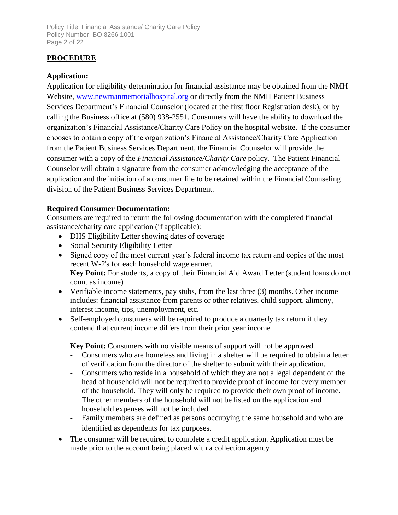Policy Title: Financial Assistance/ Charity Care Policy Policy Number: BO.8266.1001 Page 2 of 22

# **PROCEDURE**

# **Application:**

Application for eligibility determination for financial assistance may be obtained from the NMH Website, [www.newmanmemorialhospital.org](http://www.newmanmemorialhospital.org/) or directly from the NMH Patient Business Services Department's Financial Counselor (located at the first floor Registration desk), or by calling the Business office at (580) 938-2551. Consumers will have the ability to download the organization's Financial Assistance/Charity Care Policy on the hospital website. If the consumer chooses to obtain a copy of the organization's Financial Assistance/Charity Care Application from the Patient Business Services Department, the Financial Counselor will provide the consumer with a copy of the *Financial Assistance/Charity Care* policy. The Patient Financial Counselor will obtain a signature from the consumer acknowledging the acceptance of the application and the initiation of a consumer file to be retained within the Financial Counseling division of the Patient Business Services Department.

### **Required Consumer Documentation:**

Consumers are required to return the following documentation with the completed financial assistance/charity care application (if applicable):

- DHS Eligibility Letter showing dates of coverage
- Social Security Eligibility Letter
- Signed copy of the most current year's federal income tax return and copies of the most recent W-2's for each household wage earner. **Key Point:** For students, a copy of their Financial Aid Award Letter (student loans do not count as income)
- Verifiable income statements, pay stubs, from the last three (3) months. Other income includes: financial assistance from parents or other relatives, child support, alimony, interest income, tips, unemployment, etc.
- Self-employed consumers will be required to produce a quarterly tax return if they contend that current income differs from their prior year income

**Key Point:** Consumers with no visible means of support will not be approved.

- Consumers who are homeless and living in a shelter will be required to obtain a letter of verification from the director of the shelter to submit with their application.
- Consumers who reside in a household of which they are not a legal dependent of the head of household will not be required to provide proof of income for every member of the household. They will only be required to provide their own proof of income. The other members of the household will not be listed on the application and household expenses will not be included.
- Family members are defined as persons occupying the same household and who are identified as dependents for tax purposes.
- The consumer will be required to complete a credit application. Application must be made prior to the account being placed with a collection agency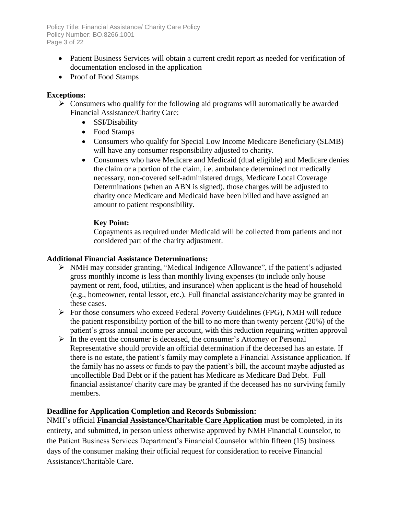Policy Title: Financial Assistance/ Charity Care Policy Policy Number: BO.8266.1001 Page 3 of 22

- Patient Business Services will obtain a current credit report as needed for verification of documentation enclosed in the application
- Proof of Food Stamps

# **Exceptions:**

- $\triangleright$  Consumers who qualify for the following aid programs will automatically be awarded Financial Assistance/Charity Care:
	- SSI/Disability
	- Food Stamps
	- Consumers who qualify for Special Low Income Medicare Beneficiary (SLMB) will have any consumer responsibility adjusted to charity.
	- Consumers who have Medicare and Medicaid (dual eligible) and Medicare denies the claim or a portion of the claim, i.e. ambulance determined not medically necessary, non-covered self-administered drugs, Medicare Local Coverage Determinations (when an ABN is signed), those charges will be adjusted to charity once Medicare and Medicaid have been billed and have assigned an amount to patient responsibility.

# **Key Point:**

Copayments as required under Medicaid will be collected from patients and not considered part of the charity adjustment.

### **Additional Financial Assistance Determinations:**

- NMH may consider granting, "Medical Indigence Allowance", if the patient's adjusted gross monthly income is less than monthly living expenses (to include only house payment or rent, food, utilities, and insurance) when applicant is the head of household (e.g., homeowner, rental lessor, etc.). Full financial assistance/charity may be granted in these cases.
- For those consumers who exceed Federal Poverty Guidelines (FPG), NMH will reduce the patient responsibility portion of the bill to no more than twenty percent (20%) of the patient's gross annual income per account, with this reduction requiring written approval
- $\triangleright$  In the event the consumer is deceased, the consumer's Attorney or Personal Representative should provide an official determination if the deceased has an estate. If there is no estate, the patient's family may complete a Financial Assistance application. If the family has no assets or funds to pay the patient's bill, the account maybe adjusted as uncollectible Bad Debt or if the patient has Medicare as Medicare Bad Debt. Full financial assistance/ charity care may be granted if the deceased has no surviving family members.

### **Deadline for Application Completion and Records Submission:**

NMH's official **Financial Assistance/Charitable Care Application** must be completed, in its entirety, and submitted, in person unless otherwise approved by NMH Financial Counselor, to the Patient Business Services Department's Financial Counselor within fifteen (15) business days of the consumer making their official request for consideration to receive Financial Assistance/Charitable Care.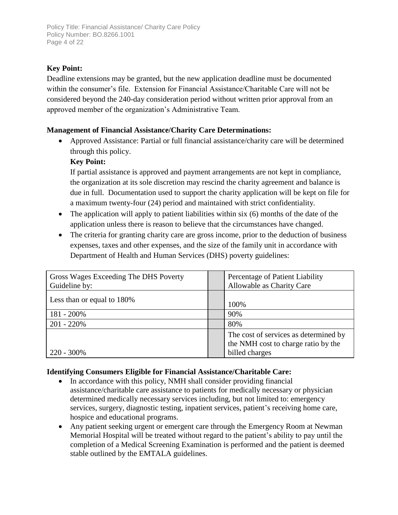# **Key Point:**

Deadline extensions may be granted, but the new application deadline must be documented within the consumer's file. Extension for Financial Assistance/Charitable Care will not be considered beyond the 240-day consideration period without written prior approval from an approved member of the organization's Administrative Team.

# **Management of Financial Assistance/Charity Care Determinations:**

 Approved Assistance: Partial or full financial assistance/charity care will be determined through this policy.

### **Key Point:**

If partial assistance is approved and payment arrangements are not kept in compliance, the organization at its sole discretion may rescind the charity agreement and balance is due in full. Documentation used to support the charity application will be kept on file for a maximum twenty-four (24) period and maintained with strict confidentiality.

- The application will apply to patient liabilities within six (6) months of the date of the application unless there is reason to believe that the circumstances have changed.
- The criteria for granting charity care are gross income, prior to the deduction of business expenses, taxes and other expenses, and the size of the family unit in accordance with Department of Health and Human Services (DHS) poverty guidelines:

| Gross Wages Exceeding The DHS Poverty | Percentage of Patient Liability                                                                |
|---------------------------------------|------------------------------------------------------------------------------------------------|
| Guideline by:                         | Allowable as Charity Care                                                                      |
| Less than or equal to 180%            | 100%                                                                                           |
| 181 - 200%                            | 90%                                                                                            |
| $201 - 220%$                          | 80%                                                                                            |
| $220 - 300\%$                         | The cost of services as determined by<br>the NMH cost to charge ratio by the<br>billed charges |

### **Identifying Consumers Eligible for Financial Assistance/Charitable Care:**

- In accordance with this policy, NMH shall consider providing financial assistance/charitable care assistance to patients for medically necessary or physician determined medically necessary services including, but not limited to: emergency services, surgery, diagnostic testing, inpatient services, patient's receiving home care, hospice and educational programs.
- Any patient seeking urgent or emergent care through the Emergency Room at Newman Memorial Hospital will be treated without regard to the patient's ability to pay until the completion of a Medical Screening Examination is performed and the patient is deemed stable outlined by the EMTALA guidelines.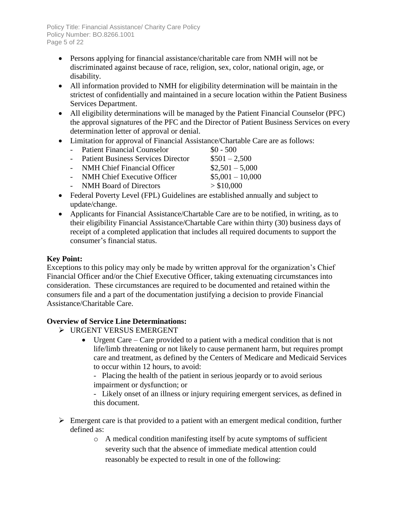Policy Title: Financial Assistance/ Charity Care Policy Policy Number: BO.8266.1001 Page 5 of 22

- Persons applying for financial assistance/charitable care from NMH will not be discriminated against because of race, religion, sex, color, national origin, age, or disability.
- All information provided to NMH for eligibility determination will be maintain in the strictest of confidentially and maintained in a secure location within the Patient Business Services Department.
- All eligibility determinations will be managed by the Patient Financial Counselor (PFC) the approval signatures of the PFC and the Director of Patient Business Services on every determination letter of approval or denial.
- Limitation for approval of Financial Assistance/Chartable Care are as follows:
	- Patient Financial Counselor  $\$0 500$ - Patient Business Services Director  $$501 - 2,500$
	- NMH Chief Financial Officer  $$2,501 5,000$
	- NMH Chief Executive Officer \$5,001 10,000
	- NMH Board of Directors  $> $10,000$
- Federal Poverty Level (FPL) Guidelines are established annually and subject to update/change.
- Applicants for Financial Assistance/Chartable Care are to be notified, in writing, as to their eligibility Financial Assistance/Chartable Care within thirty (30) business days of receipt of a completed application that includes all required documents to support the consumer's financial status.

### **Key Point:**

Exceptions to this policy may only be made by written approval for the organization's Chief Financial Officer and/or the Chief Executive Officer, taking extenuating circumstances into consideration. These circumstances are required to be documented and retained within the consumers file and a part of the documentation justifying a decision to provide Financial Assistance/Charitable Care.

### **Overview of Service Line Determinations:**

- URGENT VERSUS EMERGENT
	- Urgent Care Care provided to a patient with a medical condition that is not life/limb threatening or not likely to cause permanent harm, but requires prompt care and treatment, as defined by the Centers of Medicare and Medicaid Services to occur within 12 hours, to avoid:

- Placing the health of the patient in serious jeopardy or to avoid serious impairment or dysfunction; or

- Likely onset of an illness or injury requiring emergent services, as defined in this document.

- $\triangleright$  Emergent care is that provided to a patient with an emergent medical condition, further defined as:
	- o A medical condition manifesting itself by acute symptoms of sufficient severity such that the absence of immediate medical attention could reasonably be expected to result in one of the following: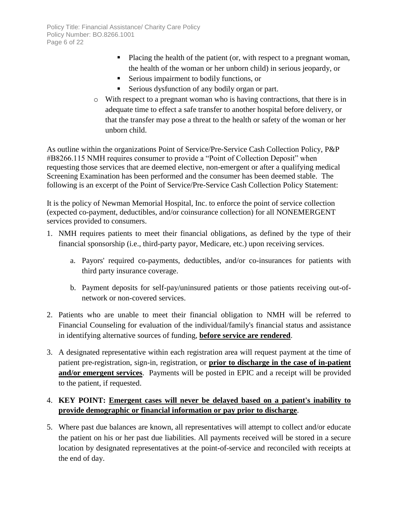- Placing the health of the patient (or, with respect to a pregnant woman, the health of the woman or her unborn child) in serious jeopardy, or
- **Serious impairment to bodily functions, or**
- Serious dysfunction of any bodily organ or part.
- o With respect to a pregnant woman who is having contractions, that there is in adequate time to effect a safe transfer to another hospital before delivery, or that the transfer may pose a threat to the health or safety of the woman or her unborn child.

As outline within the organizations Point of Service/Pre-Service Cash Collection Policy, P&P #B8266.115 NMH requires consumer to provide a "Point of Collection Deposit" when requesting those services that are deemed elective, non-emergent or after a qualifying medical Screening Examination has been performed and the consumer has been deemed stable. The following is an excerpt of the Point of Service/Pre-Service Cash Collection Policy Statement:

It is the policy of Newman Memorial Hospital, Inc. to enforce the point of service collection (expected co-payment, deductibles, and/or coinsurance collection) for all NONEMERGENT services provided to consumers.

- 1. NMH requires patients to meet their financial obligations, as defined by the type of their financial sponsorship (i.e., third-party payor, Medicare, etc.) upon receiving services.
	- a. Payors' required co-payments, deductibles, and/or co-insurances for patients with third party insurance coverage.
	- b. Payment deposits for self-pay/uninsured patients or those patients receiving out-ofnetwork or non-covered services.
- 2. Patients who are unable to meet their financial obligation to NMH will be referred to Financial Counseling for evaluation of the individual/family's financial status and assistance in identifying alternative sources of funding, **before service are rendered**.
- 3. A designated representative within each registration area will request payment at the time of patient pre-registration, sign-in, registration, or **prior to discharge in the case of in-patient and/or emergent services**. Payments will be posted in EPIC and a receipt will be provided to the patient, if requested.

# 4. **KEY POINT: Emergent cases will never be delayed based on a patient's inability to provide demographic or financial information or pay prior to discharge**.

5. Where past due balances are known, all representatives will attempt to collect and/or educate the patient on his or her past due liabilities. All payments received will be stored in a secure location by designated representatives at the point-of-service and reconciled with receipts at the end of day.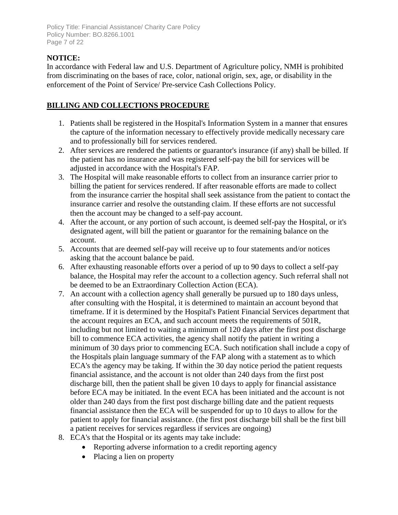Policy Title: Financial Assistance/ Charity Care Policy Policy Number: BO.8266.1001 Page 7 of 22

# **NOTICE:**

In accordance with Federal law and U.S. Department of Agriculture policy, NMH is prohibited from discriminating on the bases of race, color, national origin, sex, age, or disability in the enforcement of the Point of Service/ Pre-service Cash Collections Policy.

# **BILLING AND COLLECTIONS PROCEDURE**

- 1. Patients shall be registered in the Hospital's Information System in a manner that ensures the capture of the information necessary to effectively provide medically necessary care and to professionally bill for services rendered.
- 2. After services are rendered the patients or guarantor's insurance (if any) shall be billed. If the patient has no insurance and was registered self-pay the bill for services will be adjusted in accordance with the Hospital's FAP.
- 3. The Hospital will make reasonable efforts to collect from an insurance carrier prior to billing the patient for services rendered. If after reasonable efforts are made to collect from the insurance carrier the hospital shall seek assistance from the patient to contact the insurance carrier and resolve the outstanding claim. If these efforts are not successful then the account may be changed to a self-pay account.
- 4. After the account, or any portion of such account, is deemed self-pay the Hospital, or it's designated agent, will bill the patient or guarantor for the remaining balance on the account.
- 5. Accounts that are deemed self-pay will receive up to four statements and/or notices asking that the account balance be paid.
- 6. After exhausting reasonable efforts over a period of up to 90 days to collect a self-pay balance, the Hospital may refer the account to a collection agency. Such referral shall not be deemed to be an Extraordinary Collection Action (ECA).
- 7. An account with a collection agency shall generally be pursued up to 180 days unless, after consulting with the Hospital, it is determined to maintain an account beyond that timeframe. If it is determined by the Hospital's Patient Financial Services department that the account requires an ECA, and such account meets the requirements of 501R, including but not limited to waiting a minimum of 120 days after the first post discharge bill to commence ECA activities, the agency shall notify the patient in writing a minimum of 30 days prior to commencing ECA. Such notification shall include a copy of the Hospitals plain language summary of the FAP along with a statement as to which ECA's the agency may be taking. If within the 30 day notice period the patient requests financial assistance, and the account is not older than 240 days from the first post discharge bill, then the patient shall be given 10 days to apply for financial assistance before ECA may be initiated. In the event ECA has been initiated and the account is not older than 240 days from the first post discharge billing date and the patient requests financial assistance then the ECA will be suspended for up to 10 days to allow for the patient to apply for financial assistance. (the first post discharge bill shall be the first bill a patient receives for services regardless if services are ongoing)
- 8. ECA's that the Hospital or its agents may take include:
	- Reporting adverse information to a credit reporting agency
	- Placing a lien on property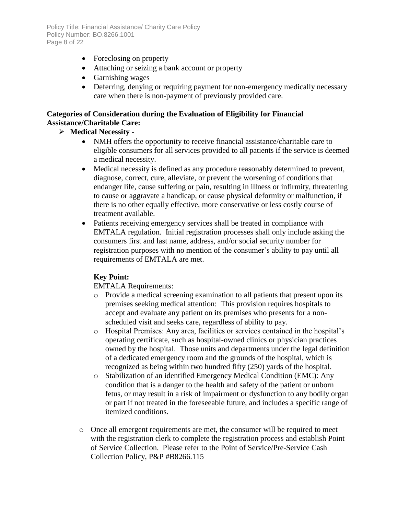Policy Title: Financial Assistance/ Charity Care Policy Policy Number: BO.8266.1001 Page 8 of 22

- Foreclosing on property
- Attaching or seizing a bank account or property
- Garnishing wages
- Deferring, denying or requiring payment for non-emergency medically necessary care when there is non-payment of previously provided care.

### **Categories of Consideration during the Evaluation of Eligibility for Financial Assistance/Charitable Care:**

# **Medical Necessity -**

- NMH offers the opportunity to receive financial assistance/charitable care to eligible consumers for all services provided to all patients if the service is deemed a medical necessity.
- Medical necessity is defined as any procedure reasonably determined to prevent, diagnose, correct, cure, alleviate, or prevent the worsening of conditions that endanger life, cause suffering or pain, resulting in illness or infirmity, threatening to cause or aggravate a handicap, or cause physical deformity or malfunction, if there is no other equally effective, more conservative or less costly course of treatment available.
- Patients receiving emergency services shall be treated in compliance with EMTALA regulation. Initial registration processes shall only include asking the consumers first and last name, address, and/or social security number for registration purposes with no mention of the consumer's ability to pay until all requirements of EMTALA are met.

# **Key Point:**

EMTALA Requirements:

- o Provide a medical screening examination to all patients that present upon its premises seeking medical attention: This provision requires hospitals to accept and evaluate any patient on its premises who presents for a nonscheduled visit and seeks care, regardless of ability to pay.
- o Hospital Premises: Any area, facilities or services contained in the hospital's operating certificate, such as hospital-owned clinics or physician practices owned by the hospital. Those units and departments under the legal definition of a dedicated emergency room and the grounds of the hospital, which is recognized as being within two hundred fifty (250) yards of the hospital.
- o Stabilization of an identified Emergency Medical Condition (EMC): Any condition that is a danger to the health and safety of the patient or unborn fetus, or may result in a risk of impairment or dysfunction to any bodily organ or part if not treated in the foreseeable future, and includes a specific range of itemized conditions.
- o Once all emergent requirements are met, the consumer will be required to meet with the registration clerk to complete the registration process and establish Point of Service Collection. Please refer to the Point of Service/Pre-Service Cash Collection Policy, P&P #B8266.115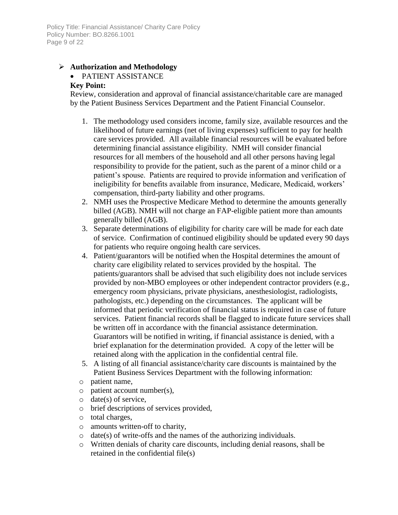### **Authorization and Methodology**

# • PATIENT ASSISTANCE

### **Key Point:**

Review, consideration and approval of financial assistance/charitable care are managed by the Patient Business Services Department and the Patient Financial Counselor.

- 1. The methodology used considers income, family size, available resources and the likelihood of future earnings (net of living expenses) sufficient to pay for health care services provided. All available financial resources will be evaluated before determining financial assistance eligibility. NMH will consider financial resources for all members of the household and all other persons having legal responsibility to provide for the patient, such as the parent of a minor child or a patient's spouse. Patients are required to provide information and verification of ineligibility for benefits available from insurance, Medicare, Medicaid, workers' compensation, third-party liability and other programs.
- 2. NMH uses the Prospective Medicare Method to determine the amounts generally billed (AGB). NMH will not charge an FAP-eligible patient more than amounts generally billed (AGB).
- 3. Separate determinations of eligibility for charity care will be made for each date of service. Confirmation of continued eligibility should be updated every 90 days for patients who require ongoing health care services.
- 4. Patient/guarantors will be notified when the Hospital determines the amount of charity care eligibility related to services provided by the hospital. The patients/guarantors shall be advised that such eligibility does not include services provided by non-MBO employees or other independent contractor providers (e.g., emergency room physicians, private physicians, anesthesiologist, radiologists, pathologists, etc.) depending on the circumstances. The applicant will be informed that periodic verification of financial status is required in case of future services. Patient financial records shall be flagged to indicate future services shall be written off in accordance with the financial assistance determination. Guarantors will be notified in writing, if financial assistance is denied, with a brief explanation for the determination provided. A copy of the letter will be retained along with the application in the confidential central file.
- 5. A listing of all financial assistance/charity care discounts is maintained by the Patient Business Services Department with the following information:
- o patient name,
- o patient account number(s),
- $\circ$  date(s) of service,
- o brief descriptions of services provided,
- o total charges,
- o amounts written-off to charity,
- o date(s) of write-offs and the names of the authorizing individuals.
- o Written denials of charity care discounts, including denial reasons, shall be retained in the confidential file(s)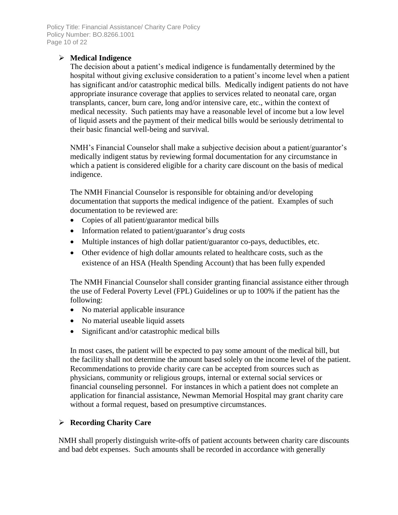Policy Title: Financial Assistance/ Charity Care Policy Policy Number: BO.8266.1001 Page 10 of 22

# **Medical Indigence**

The decision about a patient's medical indigence is fundamentally determined by the hospital without giving exclusive consideration to a patient's income level when a patient has significant and/or catastrophic medical bills. Medically indigent patients do not have appropriate insurance coverage that applies to services related to neonatal care, organ transplants, cancer, burn care, long and/or intensive care, etc., within the context of medical necessity. Such patients may have a reasonable level of income but a low level of liquid assets and the payment of their medical bills would be seriously detrimental to their basic financial well-being and survival.

NMH's Financial Counselor shall make a subjective decision about a patient/guarantor's medically indigent status by reviewing formal documentation for any circumstance in which a patient is considered eligible for a charity care discount on the basis of medical indigence.

The NMH Financial Counselor is responsible for obtaining and/or developing documentation that supports the medical indigence of the patient. Examples of such documentation to be reviewed are:

- Copies of all patient/guarantor medical bills
- Information related to patient/guarantor's drug costs
- Multiple instances of high dollar patient/guarantor co-pays, deductibles, etc.
- Other evidence of high dollar amounts related to healthcare costs, such as the existence of an HSA (Health Spending Account) that has been fully expended

The NMH Financial Counselor shall consider granting financial assistance either through the use of Federal Poverty Level (FPL) Guidelines or up to 100% if the patient has the following:

- No material applicable insurance
- No material useable liquid assets
- Significant and/or catastrophic medical bills

In most cases, the patient will be expected to pay some amount of the medical bill, but the facility shall not determine the amount based solely on the income level of the patient. Recommendations to provide charity care can be accepted from sources such as physicians, community or religious groups, internal or external social services or financial counseling personnel. For instances in which a patient does not complete an application for financial assistance, Newman Memorial Hospital may grant charity care without a formal request, based on presumptive circumstances.

# **Recording Charity Care**

NMH shall properly distinguish write-offs of patient accounts between charity care discounts and bad debt expenses. Such amounts shall be recorded in accordance with generally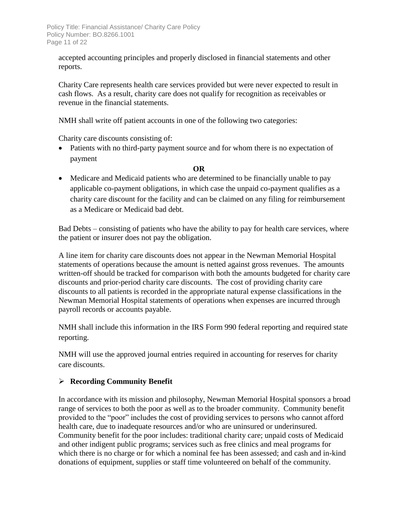accepted accounting principles and properly disclosed in financial statements and other reports.

Charity Care represents health care services provided but were never expected to result in cash flows. As a result, charity care does not qualify for recognition as receivables or revenue in the financial statements.

NMH shall write off patient accounts in one of the following two categories:

Charity care discounts consisting of:

 Patients with no third-party payment source and for whom there is no expectation of payment

### **OR**

 Medicare and Medicaid patients who are determined to be financially unable to pay applicable co-payment obligations, in which case the unpaid co-payment qualifies as a charity care discount for the facility and can be claimed on any filing for reimbursement as a Medicare or Medicaid bad debt.

Bad Debts – consisting of patients who have the ability to pay for health care services, where the patient or insurer does not pay the obligation.

A line item for charity care discounts does not appear in the Newman Memorial Hospital statements of operations because the amount is netted against gross revenues. The amounts written-off should be tracked for comparison with both the amounts budgeted for charity care discounts and prior-period charity care discounts. The cost of providing charity care discounts to all patients is recorded in the appropriate natural expense classifications in the Newman Memorial Hospital statements of operations when expenses are incurred through payroll records or accounts payable.

NMH shall include this information in the IRS Form 990 federal reporting and required state reporting.

NMH will use the approved journal entries required in accounting for reserves for charity care discounts.

### **Recording Community Benefit**

In accordance with its mission and philosophy, Newman Memorial Hospital sponsors a broad range of services to both the poor as well as to the broader community. Community benefit provided to the "poor" includes the cost of providing services to persons who cannot afford health care, due to inadequate resources and/or who are uninsured or underinsured. Community benefit for the poor includes: traditional charity care; unpaid costs of Medicaid and other indigent public programs; services such as free clinics and meal programs for which there is no charge or for which a nominal fee has been assessed; and cash and in-kind donations of equipment, supplies or staff time volunteered on behalf of the community.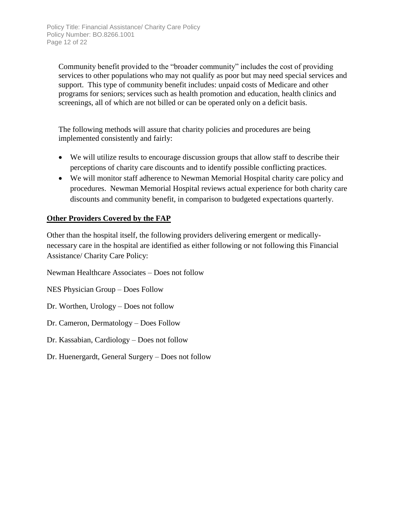Community benefit provided to the "broader community" includes the cost of providing services to other populations who may not qualify as poor but may need special services and support. This type of community benefit includes: unpaid costs of Medicare and other programs for seniors; services such as health promotion and education, health clinics and screenings, all of which are not billed or can be operated only on a deficit basis.

The following methods will assure that charity policies and procedures are being implemented consistently and fairly:

- We will utilize results to encourage discussion groups that allow staff to describe their perceptions of charity care discounts and to identify possible conflicting practices.
- We will monitor staff adherence to Newman Memorial Hospital charity care policy and procedures. Newman Memorial Hospital reviews actual experience for both charity care discounts and community benefit, in comparison to budgeted expectations quarterly.

# **Other Providers Covered by the FAP**

Other than the hospital itself, the following providers delivering emergent or medicallynecessary care in the hospital are identified as either following or not following this Financial Assistance/ Charity Care Policy:

Newman Healthcare Associates – Does not follow

NES Physician Group – Does Follow

Dr. Worthen, Urology – Does not follow

Dr. Cameron, Dermatology – Does Follow

Dr. Kassabian, Cardiology – Does not follow

Dr. Huenergardt, General Surgery – Does not follow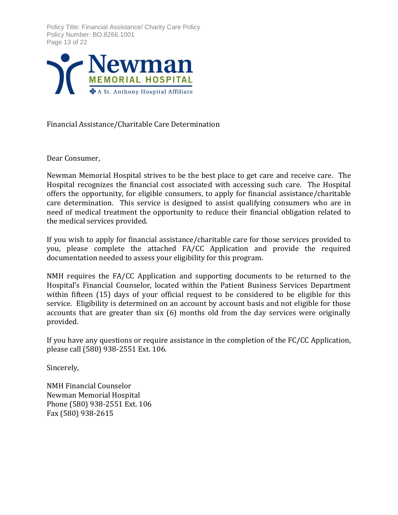Policy Title: Financial Assistance/ Charity Care Policy Policy Number: BO.8266.1001 Page 13 of 22



Financial Assistance/Charitable Care Determination

Dear Consumer,

Newman Memorial Hospital strives to be the best place to get care and receive care. The Hospital recognizes the financial cost associated with accessing such care. The Hospital offers the opportunity, for eligible consumers, to apply for financial assistance/charitable care determination. This service is designed to assist qualifying consumers who are in need of medical treatment the opportunity to reduce their financial obligation related to the medical services provided.

If you wish to apply for financial assistance/charitable care for those services provided to you, please complete the attached FA/CC Application and provide the required documentation needed to assess your eligibility for this program.

NMH requires the FA/CC Application and supporting documents to be returned to the Hospital's Financial Counselor, located within the Patient Business Services Department within fifteen (15) days of your official request to be considered to be eligible for this service. Eligibility is determined on an account by account basis and not eligible for those accounts that are greater than six (6) months old from the day services were originally provided.

If you have any questions or require assistance in the completion of the FC/CC Application, please call (580) 938-2551 Ext. 106.

Sincerely,

NMH Financial Counselor Newman Memorial Hospital Phone (580) 938-2551 Ext. 106 Fax (580) 938-2615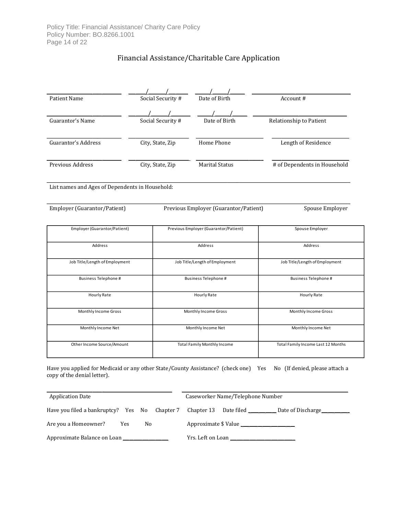# Financial Assistance/Charitable Care Application

| <b>Patient Name</b>                             | Social Security # | Date of Birth                         | Account#                           |
|-------------------------------------------------|-------------------|---------------------------------------|------------------------------------|
|                                                 |                   |                                       |                                    |
| Guarantor's Name                                | Social Security # | Date of Birth                         | Relationship to Patient            |
| Guarantor's Address                             | City, State, Zip  | Home Phone                            | Length of Residence                |
| Previous Address                                | City, State, Zip  | <b>Marital Status</b>                 | # of Dependents in Household       |
| List names and Ages of Dependents in Household: |                   |                                       |                                    |
| Employer (Guarantor/Patient)                    |                   | Previous Employer (Guarantor/Patient) | Spouse Employer                    |
| Employer (Guarantor/Patient)                    |                   | Previous Employer (Guarantor/Patient) | Spouse Employer                    |
| Address                                         |                   | Address                               | Address                            |
| Job Title/Length of Employment                  |                   | Job Title/Length of Employment        | Job Title/Length of Employment     |
| Business Telephone #                            |                   | <b>Business Telephone #</b>           | <b>Business Telephone #</b>        |
| Hourly Rate                                     |                   | Hourly Rate                           | Hourly Rate                        |
| Monthly Income Gross                            |                   | Monthly Income Gross                  | Monthly Income Gross               |
| Monthly Income Net                              |                   | Monthly Income Net                    | Monthly Income Net                 |
| Other Income Source/Amount                      |                   | <b>Total Family Monthly Income</b>    | Total Family Income Last 12 Months |

Have you applied for Medicaid or any other State/County Assistance? (check one) Yes No (If denied, please attach a copy of the denial letter).

| <b>Application Date</b>                                  |     | Caseworker Name/Telephone Number |                                   |  |                              |
|----------------------------------------------------------|-----|----------------------------------|-----------------------------------|--|------------------------------|
| Have you filed a bankruptcy? Yes No Chapter 7 Chapter 13 |     |                                  |                                   |  | Date filed Date of Discharge |
| Are you a Homeowner?                                     | No. | Approximate \$ Value             |                                   |  |                              |
| Approximate Balance on Loan                              |     |                                  | Yrs. Left on Loan <b>Franklin</b> |  |                              |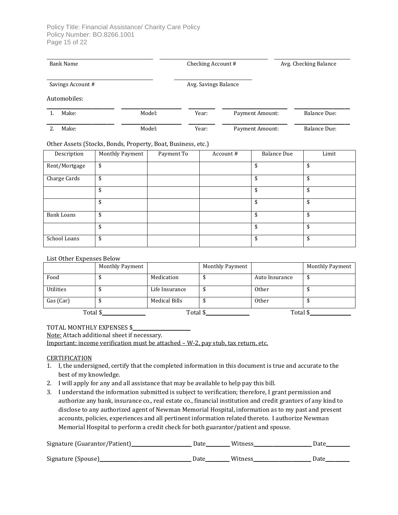| <b>Bank Name</b>  |                                                              | Checking Account # |                      |                 | Avg. Checking Balance |                     |
|-------------------|--------------------------------------------------------------|--------------------|----------------------|-----------------|-----------------------|---------------------|
| Savings Account # |                                                              |                    | Avg. Savings Balance |                 |                       |                     |
| Automobiles:      |                                                              |                    |                      |                 |                       |                     |
| Make:<br>1.       | Model:                                                       |                    | Year:                |                 | Payment Amount:       | <b>Balance Due:</b> |
| Make:<br>2.       | Model:                                                       |                    | Year:                | Payment Amount: |                       | <b>Balance Due:</b> |
|                   | Other Assets (Stocks, Bonds, Property, Boat, Business, etc.) |                    |                      |                 |                       |                     |
| Description       | Monthly Payment                                              | Payment To         |                      | Account#        | <b>Balance Due</b>    | Limit               |
| Rent/Mortgage     | \$                                                           |                    |                      |                 | \$                    | \$                  |
| Charge Cards      | \$                                                           |                    |                      |                 | \$                    | \$                  |
|                   | \$                                                           |                    |                      |                 | \$                    | \$                  |
|                   | \$                                                           |                    |                      |                 | \$                    | \$                  |
| <b>Bank Loans</b> | \$                                                           |                    |                      |                 | \$                    | \$                  |
|                   | \$                                                           |                    |                      |                 | \$                    | \$                  |
| School Loans      | \$                                                           |                    |                      |                 | \$                    | \$                  |

#### List Other Expenses Below

|                  | Monthly Payment |                | Monthly Payment |                | Monthly Payment |
|------------------|-----------------|----------------|-----------------|----------------|-----------------|
| Food             |                 | Medication     |                 | Auto Insurance | ◡               |
| <b>Utilities</b> |                 | Life Insurance | ч               | <b>Other</b>   |                 |
| Gas (Car)        |                 | Medical Bills  |                 | Other          |                 |
| Total \$         |                 | Total \$       |                 | Total \$       |                 |

#### TOTAL MONTHLY EXPENSES \$

Note: Attach additional sheet if necessary.

Important: income verification must be attached – W-2, pay stub, tax return, etc.

#### **CERTIFICATION**

- 1. I, the undersigned, certify that the completed information in this document is true and accurate to the best of my knowledge.
- 2. I will apply for any and all assistance that may be available to help pay this bill.
- 3. I understand the information submitted is subject to verification; therefore, I grant permission and authorize any bank, insurance co., real estate co., financial institution and credit grantors of any kind to disclose to any authorized agent of Newman Memorial Hospital, information as to my past and present accounts, policies, experiences and all pertinent information related thereto. I authorize Newman Memorial Hospital to perform a credit check for both guarantor/patient and spouse.

| Signature (Guarantor/Patient) | Date | Witness | Date |
|-------------------------------|------|---------|------|
| Signature (Spouse)            | Date | Witness | Date |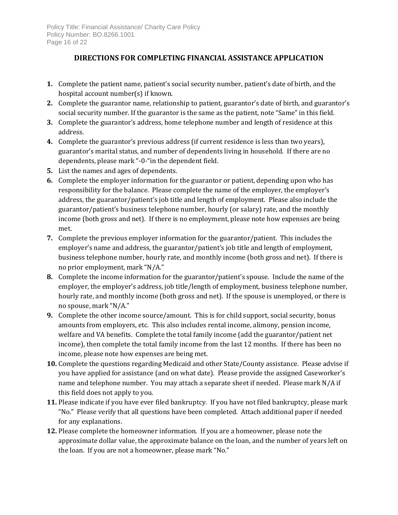# **DIRECTIONS FOR COMPLETING FINANCIAL ASSISTANCE APPLICATION**

- **1.** Complete the patient name, patient's social security number, patient's date of birth, and the hospital account number(s) if known.
- **2.** Complete the guarantor name, relationship to patient, guarantor's date of birth, and guarantor's social security number. If the guarantor is the same as the patient, note "Same" in this field.
- **3.** Complete the guarantor's address, home telephone number and length of residence at this address.
- **4.** Complete the guarantor's previous address (if current residence is less than two years), guarantor's marital status, and number of dependents living in household. If there are no dependents, please mark "-0-"in the dependent field.
- **5.** List the names and ages of dependents.
- **6.** Complete the employer information for the guarantor or patient, depending upon who has responsibility for the balance. Please complete the name of the employer, the employer's address, the guarantor/patient's job title and length of employment. Please also include the guarantor/patient's business telephone number, hourly (or salary) rate, and the monthly income (both gross and net). If there is no employment, please note how expenses are being met.
- **7.** Complete the previous employer information for the guarantor/patient. This includes the employer's name and address, the guarantor/patient's job title and length of employment, business telephone number, hourly rate, and monthly income (both gross and net). If there is no prior employment, mark "N/A."
- **8.** Complete the income information for the guarantor/patient's spouse. Include the name of the employer, the employer's address, job title/length of employment, business telephone number, hourly rate, and monthly income (both gross and net). If the spouse is unemployed, or there is no spouse, mark "N/A."
- **9.** Complete the other income source/amount. This is for child support, social security, bonus amounts from employers, etc. This also includes rental income, alimony, pension income, welfare and VA benefits. Complete the total family income (add the guarantor/patient net income), then complete the total family income from the last 12 months. If there has been no income, please note how expenses are being met.
- **10.** Complete the questions regarding Medicaid and other State/County assistance. Please advise if you have applied for assistance (and on what date). Please provide the assigned Caseworker's name and telephone number. You may attach a separate sheet if needed. Please mark N/A if this field does not apply to you.
- **11.** Please indicate if you have ever filed bankruptcy. If you have not filed bankruptcy, please mark "No." Please verify that all questions have been completed. Attach additional paper if needed for any explanations.
- **12.** Please complete the homeowner information. If you are a homeowner, please note the approximate dollar value, the approximate balance on the loan, and the number of years left on the loan. If you are not a homeowner, please mark "No."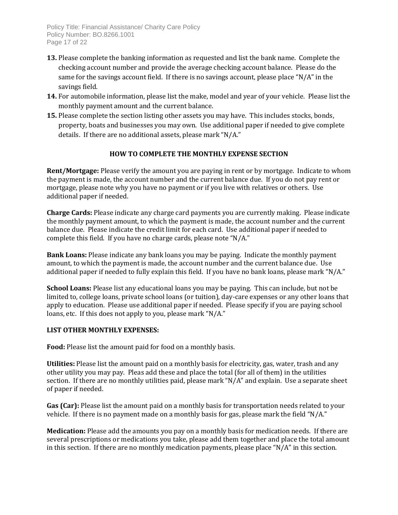Policy Title: Financial Assistance/ Charity Care Policy Policy Number: BO.8266.1001 Page 17 of 22

- **13.** Please complete the banking information as requested and list the bank name. Complete the checking account number and provide the average checking account balance. Please do the same for the savings account field. If there is no savings account, please place "N/A" in the savings field.
- **14.** For automobile information, please list the make, model and year of your vehicle. Please list the monthly payment amount and the current balance.
- **15.** Please complete the section listing other assets you may have. This includes stocks, bonds, property, boats and businesses you may own. Use additional paper if needed to give complete details. If there are no additional assets, please mark "N/A."

### **HOW TO COMPLETE THE MONTHLY EXPENSE SECTION**

**Rent/Mortgage:** Please verify the amount you are paying in rent or by mortgage. Indicate to whom the payment is made, the account number and the current balance due. If you do not pay rent or mortgage, please note why you have no payment or if you live with relatives or others. Use additional paper if needed.

**Charge Cards:** Please indicate any charge card payments you are currently making. Please indicate the monthly payment amount, to which the payment is made, the account number and the current balance due. Please indicate the credit limit for each card. Use additional paper if needed to complete this field. If you have no charge cards, please note "N/A."

**Bank Loans:** Please indicate any bank loans you may be paying. Indicate the monthly payment amount, to which the payment is made, the account number and the current balance due. Use additional paper if needed to fully explain this field. If you have no bank loans, please mark "N/A."

**School Loans:** Please list any educational loans you may be paying. This can include, but not be limited to, college loans, private school loans (or tuition), day-care expenses or any other loans that apply to education. Please use additional paper if needed. Please specify if you are paying school loans, etc. If this does not apply to you, please mark "N/A."

#### **LIST OTHER MONTHLY EXPENSES:**

**Food:** Please list the amount paid for food on a monthly basis.

**Utilities:** Please list the amount paid on a monthly basis for electricity, gas, water, trash and any other utility you may pay. Pleas add these and place the total (for all of them) in the utilities section. If there are no monthly utilities paid, please mark "N/A" and explain. Use a separate sheet of paper if needed.

**Gas (Car):** Please list the amount paid on a monthly basis for transportation needs related to your vehicle. If there is no payment made on a monthly basis for gas, please mark the field "N/A."

**Medication:** Please add the amounts you pay on a monthly basis for medication needs. If there are several prescriptions or medications you take, please add them together and place the total amount in this section. If there are no monthly medication payments, please place "N/A" in this section.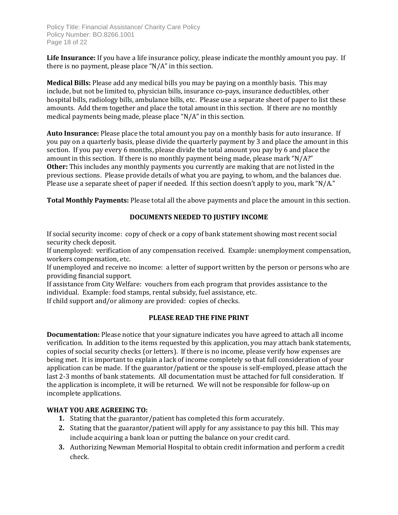Policy Title: Financial Assistance/ Charity Care Policy Policy Number: BO.8266.1001 Page 18 of 22

**Life Insurance:** If you have a life insurance policy, please indicate the monthly amount you pay. If there is no payment, please place "N/A" in this section.

**Medical Bills:** Please add any medical bills you may be paying on a monthly basis. This may include, but not be limited to, physician bills, insurance co-pays, insurance deductibles, other hospital bills, radiology bills, ambulance bills, etc. Please use a separate sheet of paper to list these amounts. Add them together and place the total amount in this section. If there are no monthly medical payments being made, please place "N/A" in this section.

**Auto Insurance:** Please place the total amount you pay on a monthly basis for auto insurance. If you pay on a quarterly basis, please divide the quarterly payment by 3 and place the amount in this section. If you pay every 6 months, please divide the total amount you pay by 6 and place the amount in this section. If there is no monthly payment being made, please mark "N/A?" **Other:** This includes any monthly payments you currently are making that are not listed in the previous sections. Please provide details of what you are paying, to whom, and the balances due. Please use a separate sheet of paper if needed. If this section doesn't apply to you, mark "N/A."

**Total Monthly Payments:** Please total all the above payments and place the amount in this section.

### **DOCUMENTS NEEDED TO JUSTIFY INCOME**

If social security income: copy of check or a copy of bank statement showing most recent social security check deposit.

If unemployed: verification of any compensation received. Example: unemployment compensation, workers compensation, etc.

If unemployed and receive no income: a letter of support written by the person or persons who are providing financial support.

If assistance from City Welfare: vouchers from each program that provides assistance to the individual. Example: food stamps, rental subsidy, fuel assistance, etc.

If child support and/or alimony are provided: copies of checks.

### **PLEASE READ THE FINE PRINT**

**Documentation:** Please notice that your signature indicates you have agreed to attach all income verification. In addition to the items requested by this application, you may attach bank statements, copies of social security checks (or letters). If there is no income, please verify how expenses are being met. It is important to explain a lack of income completely so that full consideration of your application can be made. If the guarantor/patient or the spouse is self-employed, please attach the last 2-3 months of bank statements. All documentation must be attached for full consideration. If the application is incomplete, it will be returned. We will not be responsible for follow-up on incomplete applications.

### **WHAT YOU ARE AGREEING TO:**

- **1.** Stating that the guarantor/patient has completed this form accurately.
- **2.** Stating that the guarantor/patient will apply for any assistance to pay this bill. This may include acquiring a bank loan or putting the balance on your credit card.
- **3.** Authorizing Newman Memorial Hospital to obtain credit information and perform a credit check.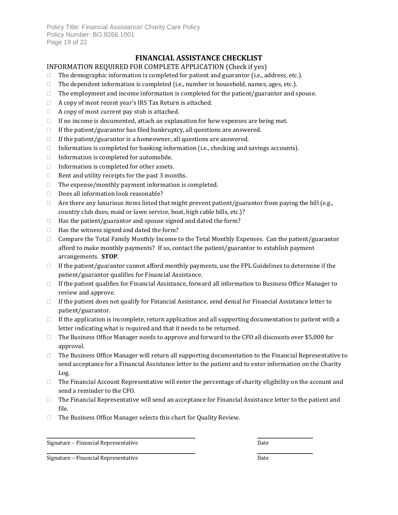Policy Title: Financial Assistance/ Charity Care Policy Policy Number: BO.8266.1001 Page 19 of 22

### **FINANCIAL ASSISTANCE CHECKLIST**

### INFORMATION REQUIRED FOR COMPLETE APPLICATION (Check if yes)

- $\Box$  The demographic information is completed for patient and guarantor (i.e., address, etc.).
- $\Box$  The dependent information is completed (i.e., number in household, names, ages, etc.).
- $\Box$  The employment and income information is completed for the patient/guarantor and spouse.
- □ A copy of most recent year's IRS Tax Return is attached.
- $\Box$  A copy of most current pay stub is attached.
- $\Box$  If no income is documented, attach an explanation for how expenses are being met.
- $\Box$  If the patient/guarantor has filed bankruptcy, all questions are answered.
- $\Box$  If the patient/guarantor is a homeowner, all questions are answered.
- $\Box$  Information is completed for banking information (i.e., checking and savings accounts).
- $\Box$  Information is completed for automobile.
- $\Box$  Information is completed for other assets.
- $\Box$  Rent and utility receipts for the past 3 months.
- $\Box$  The expense/monthly payment information is completed.
- $\Box$  Does all information look reasonable?
- $\Box$  Are there any luxurious items listed that might prevent patient/guarantor from paying the bill (e.g., country club dues, maid or lawn service, boat, high cable bills, etc.)?
- $\Box$  Has the patient/guarantor and spouse signed and dated the form?
- $\Box$  Has the witness signed and dated the form?
- □ Compare the Total Family Monthly Income to the Total Monthly Expenses. Can the patient/guarantor afford to make monthly payments? If so, contact the patient/guarantor to establish payment arrangements. **STOP**.
- $\Box$  If the patient/guarantor cannot afford monthly payments, use the FPL Guidelines to determine if the patient/guarantor qualifies for Financial Assistance.
- $\Box$  If the patient qualifies for Financial Assistance, forward all information to Business Office Manager to review and approve.
- $\Box$  If the patient does not qualify for Financial Assistance, send denial for Financial Assistance letter to patient/guarantor.
- $\Box$  If the application is incomplete, return application and all supporting documentation to patient with a letter indicating what is required and that it needs to be returned.
- $\Box$  The Business Office Manager needs to approve and forward to the CFO all discounts over \$5,000 for approval.
- $\Box$  The Business Office Manager will return all supporting documentation to the Financial Representative to send acceptance for a Financial Assistance letter to the patient and to enter information on the Charity Log.
- $\Box$  The Financial Account Representative will enter the percentage of charity eligibility on the account and send a reminder to the CFO.
- $\Box$  The Financial Representative will send an acceptance for Financial Assistance letter to the patient and file.

 $\_$  , and the set of the set of the set of the set of the set of the set of the set of the set of the set of the set of the set of the set of the set of the set of the set of the set of the set of the set of the set of th

□ The Business Office Manager selects this chart for Quality Review.

Signature – Financial Representative Date Date Date Date

\_\_\_\_\_\_\_\_\_\_\_\_\_\_\_\_\_\_\_\_\_\_\_\_\_\_\_\_\_\_\_\_\_\_\_\_\_\_\_\_\_\_\_\_\_\_\_\_\_\_\_\_\_\_\_\_ \_\_\_\_\_\_\_\_\_\_\_\_\_\_\_\_\_\_\_\_\_ Signature – Financial Representative Date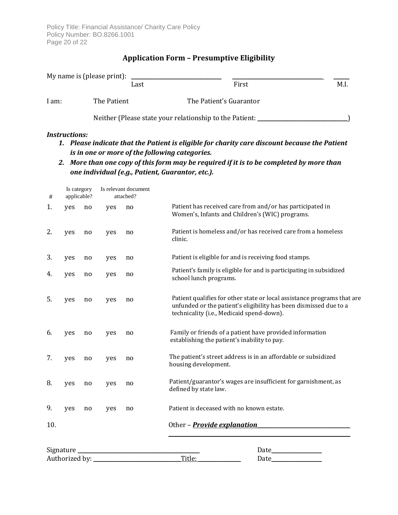Policy Title: Financial Assistance/ Charity Care Policy Policy Number: BO.8266.1001 Page 20 of 22

# **Application Form – Presumptive Eligibility**

|       | My name is (please print): |                                                         |      |  |  |
|-------|----------------------------|---------------------------------------------------------|------|--|--|
|       | Last                       | First                                                   | M.I. |  |  |
| 1 am: | The Patient                | The Patient's Guarantor                                 |      |  |  |
|       |                            | Neither (Please state your relationship to the Patient: |      |  |  |

#### *Instructions:*

- *1. Please indicate that the Patient is eligible for charity care discount because the Patient is in one or more of the following categories.*
- *2. More than one copy of this form may be required if it is to be completed by more than one individual (e.g., Patient, Guarantor, etc.).*

| #   | Is category<br>applicable? |    | Is relevant document<br>attached? |    |                                                                                                                                                                                           |  |  |  |
|-----|----------------------------|----|-----------------------------------|----|-------------------------------------------------------------------------------------------------------------------------------------------------------------------------------------------|--|--|--|
| 1.  | yes                        | no | yes                               | no | Patient has received care from and/or has participated in<br>Women's, Infants and Children's (WIC) programs.                                                                              |  |  |  |
| 2.  | yes                        | no | yes                               | no | Patient is homeless and/or has received care from a homeless<br>clinic.                                                                                                                   |  |  |  |
| 3.  | yes                        | no | yes                               | no | Patient is eligible for and is receiving food stamps.                                                                                                                                     |  |  |  |
| 4.  | yes                        | no | yes                               | no | Patient's family is eligible for and is participating in subsidized<br>school lunch programs.                                                                                             |  |  |  |
| 5.  | yes                        | no | yes                               | no | Patient qualifies for other state or local assistance programs that are<br>unfunded or the patient's eligibility has been dismissed due to a<br>technicality (i.e., Medicaid spend-down). |  |  |  |
| 6.  | yes                        | no | yes                               | no | Family or friends of a patient have provided information<br>establishing the patient's inability to pay.                                                                                  |  |  |  |
| 7.  | yes                        | no | yes                               | no | The patient's street address is in an affordable or subsidized<br>housing development.                                                                                                    |  |  |  |
| 8.  | yes                        | no | yes                               | no | Patient/guarantor's wages are insufficient for garnishment, as<br>defined by state law.                                                                                                   |  |  |  |
| 9.  | yes                        | no | yes                               | no | Patient is deceased with no known estate.                                                                                                                                                 |  |  |  |
| 10. |                            |    |                                   |    | Other - <b>Provide explanation</b>                                                                                                                                                        |  |  |  |
|     | Signature.                 |    |                                   |    | Date                                                                                                                                                                                      |  |  |  |
|     | Authorized by:             |    |                                   |    | Title:<br>Date                                                                                                                                                                            |  |  |  |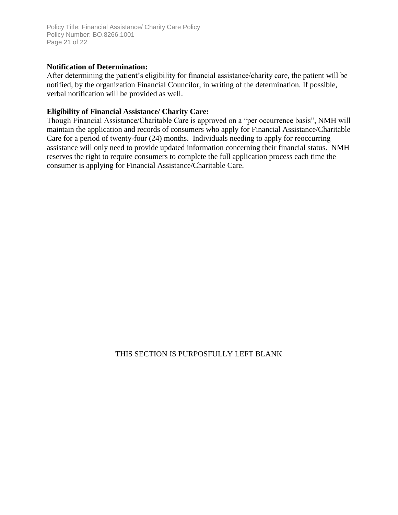Policy Title: Financial Assistance/ Charity Care Policy Policy Number: BO.8266.1001 Page 21 of 22

#### **Notification of Determination:**

After determining the patient's eligibility for financial assistance/charity care, the patient will be notified, by the organization Financial Councilor, in writing of the determination. If possible, verbal notification will be provided as well.

### **Eligibility of Financial Assistance/ Charity Care:**

Though Financial Assistance/Charitable Care is approved on a "per occurrence basis", NMH will maintain the application and records of consumers who apply for Financial Assistance/Charitable Care for a period of twenty-four (24) months. Individuals needing to apply for reoccurring assistance will only need to provide updated information concerning their financial status. NMH reserves the right to require consumers to complete the full application process each time the consumer is applying for Financial Assistance/Charitable Care.

### THIS SECTION IS PURPOSFULLY LEFT BLANK